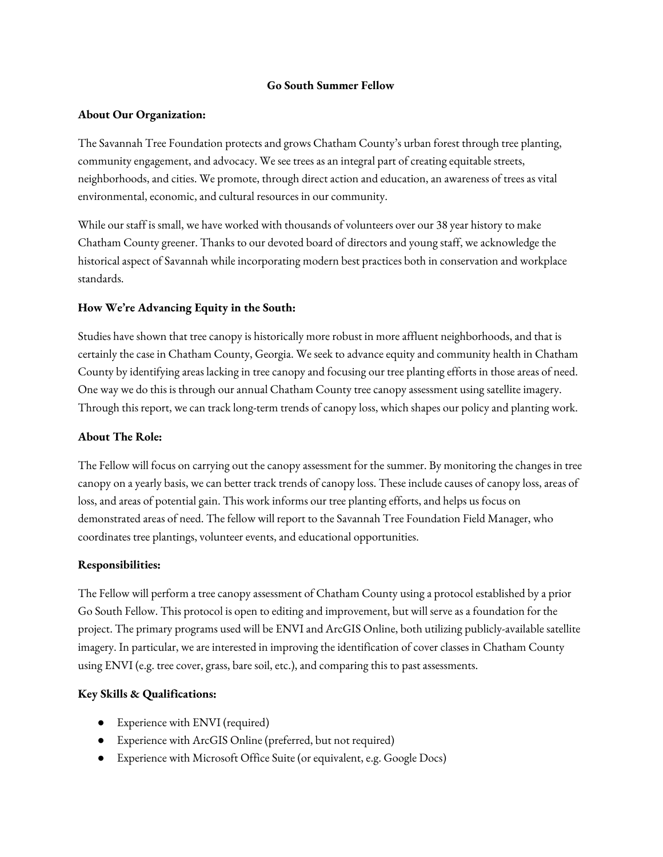#### **Go South Summer Fellow**

#### **About Our Organization:**

The Savannah Tree Foundation protects and grows Chatham County's urban forest through tree planting, community engagement, and advocacy. We see trees as an integral part of creating equitable streets, neighborhoods, and cities. We promote, through direct action and education, an awareness of trees as vital environmental, economic, and cultural resources in our community.

While our staff is small, we have worked with thousands of volunteers over our 38 year history to make Chatham County greener. Thanks to our devoted board of directors and young staff, we acknowledge the historical aspect of Savannah while incorporating modern best practices both in conservation and workplace standards.

## **How We're Advancing Equity in the South:**

Studies have shown that tree canopy is historically more robust in more affluent neighborhoods, and that is certainly the case in Chatham County, Georgia. We seek to advance equity and community health in Chatham County by identifying areas lacking in tree canopy and focusing our tree planting efforts in those areas of need. One way we do this is through our annual Chatham County tree canopy assessment using satellite imagery. Through this report, we can track long-term trends of canopy loss, which shapes our policy and planting work.

## **About The Role:**

The Fellow will focus on carrying out the canopy assessment for the summer. By monitoring the changes in tree canopy on a yearly basis, we can better track trends of canopy loss. These include causes of canopy loss, areas of loss, and areas of potential gain. This work informs our tree planting efforts, and helps us focus on demonstrated areas of need. The fellow will report to the Savannah Tree Foundation Field Manager, who coordinates tree plantings, volunteer events, and educational opportunities.

# **Responsibilities:**

The Fellow will perform a tree canopy assessment of Chatham County using a protocol established by a prior Go South Fellow. This protocol is open to editing and improvement, but will serve as a foundation for the project. The primary programs used will be ENVI and ArcGIS Online, both utilizing publicly-available satellite imagery. In particular, we are interested in improving the identification of cover classes in Chatham County using ENVI (e.g. tree cover, grass, bare soil, etc.), and comparing this to past assessments.

# **Key Skills & Qualifications:**

- Experience with ENVI (required)
- Experience with ArcGIS Online (preferred, but not required)
- Experience with Microsoft Office Suite (or equivalent, e.g. Google Docs)